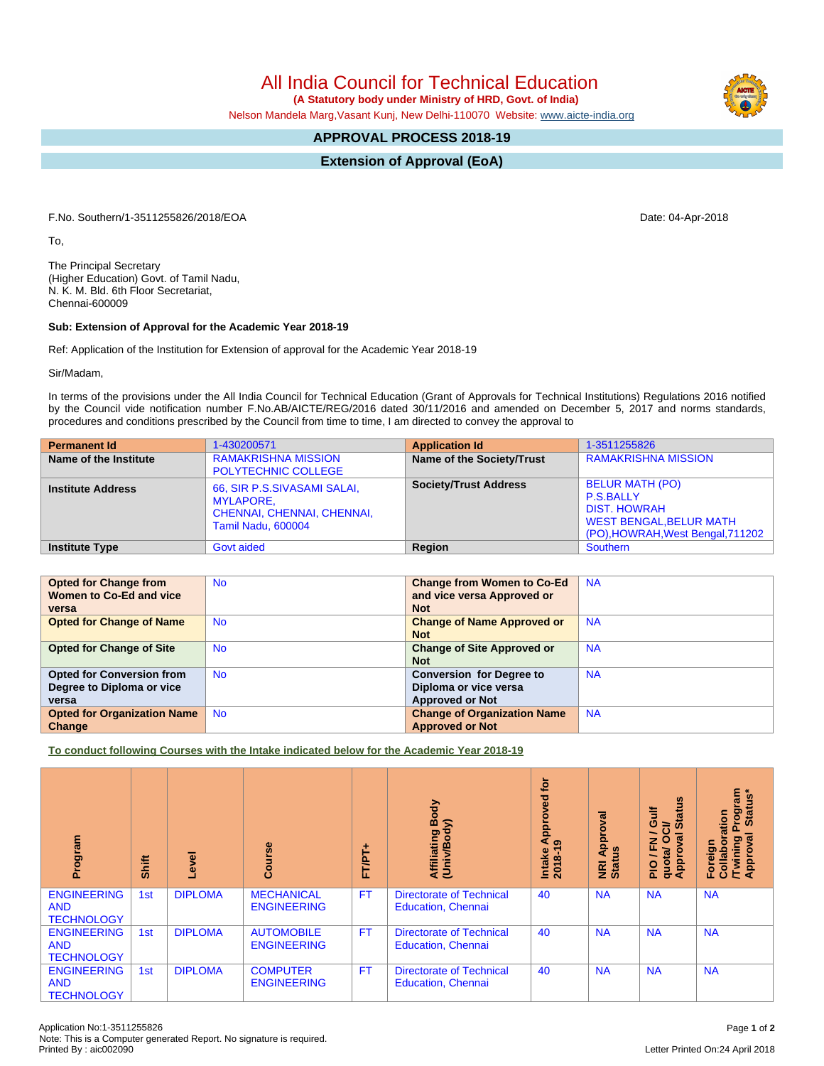## All India Council for Technical Education

 **(A Statutory body under Ministry of HRD, Govt. of India)**

Nelson Mandela Marg,Vasant Kunj, New Delhi-110070 Website: [www.aicte-india.org](http://www.aicte-india.org)

## **APPROVAL PROCESS 2018-19**

**Extension of Approval (EoA)**

F.No. Southern/1-3511255826/2018/EOA Date: 04-Apr-2018

To,

The Principal Secretary (Higher Education) Govt. of Tamil Nadu, N. K. M. Bld. 6th Floor Secretariat, Chennai-600009

## **Sub: Extension of Approval for the Academic Year 2018-19**

Ref: Application of the Institution for Extension of approval for the Academic Year 2018-19

Sir/Madam,

In terms of the provisions under the All India Council for Technical Education (Grant of Approvals for Technical Institutions) Regulations 2016 notified by the Council vide notification number F.No.AB/AICTE/REG/2016 dated 30/11/2016 and amended on December 5, 2017 and norms standards, procedures and conditions prescribed by the Council from time to time, I am directed to convey the approval to

| <b>Permanent Id</b>      | 1-430200571                                                                                         | <b>Application Id</b>        | 1-3511255826                                                                                                                             |
|--------------------------|-----------------------------------------------------------------------------------------------------|------------------------------|------------------------------------------------------------------------------------------------------------------------------------------|
| Name of the Institute    | <b>RAMAKRISHNA MISSION</b><br><b>POLYTECHNIC COLLEGE</b>                                            | Name of the Society/Trust    | <b>RAMAKRISHNA MISSION</b>                                                                                                               |
| <b>Institute Address</b> | 66, SIR P.S.SIVASAMI SALAI,<br><b>MYLAPORE.</b><br>CHENNAI, CHENNAI, CHENNAI,<br>Tamil Nadu, 600004 | <b>Society/Trust Address</b> | <b>BELUR MATH (PO)</b><br><b>P.S.BALLY</b><br><b>DIST, HOWRAH</b><br><b>WEST BENGAL, BELUR MATH</b><br>(PO), HOWRAH, West Bengal, 711202 |
| <b>Institute Type</b>    | Govt aided                                                                                          | Region                       | Southern                                                                                                                                 |

| <b>Opted for Change from</b>       | <b>No</b> | <b>Change from Women to Co-Ed</b>  | <b>NA</b> |
|------------------------------------|-----------|------------------------------------|-----------|
| Women to Co-Ed and vice            |           | and vice versa Approved or         |           |
| versa                              |           | <b>Not</b>                         |           |
| <b>Opted for Change of Name</b>    | <b>No</b> | <b>Change of Name Approved or</b>  | <b>NA</b> |
|                                    |           | <b>Not</b>                         |           |
| <b>Opted for Change of Site</b>    | <b>No</b> | <b>Change of Site Approved or</b>  | <b>NA</b> |
|                                    |           | <b>Not</b>                         |           |
| <b>Opted for Conversion from</b>   | <b>No</b> | <b>Conversion for Degree to</b>    | <b>NA</b> |
| Degree to Diploma or vice          |           | Diploma or vice versa              |           |
| versa                              |           | <b>Approved or Not</b>             |           |
| <b>Opted for Organization Name</b> | <b>No</b> | <b>Change of Organization Name</b> | <b>NA</b> |
| Change                             |           | <b>Approved or Not</b>             |           |

**To conduct following Courses with the Intake indicated below for the Academic Year 2018-19**

| Program                                               | Shift | Level          | rse<br>ပြီ                              | 广<br>FTPT+ | Body<br>ody)<br>Affiliating<br>(Univ/Body                    | <b>b</b><br>yed<br>ppro<br>$\overline{\mathbf{z}}$<br>െ<br>Intake<br>$2018 -$ | ड़<br>Approv<br><b>SID</b><br>NRI<br>Stat | 9<br><b>Jire</b><br>Ē<br>≃<br>$\omega$<br>ड़<br>O<br>준<br>quotal<br><b>Appro</b><br><b>DId</b> | 'rogram<br>Status*<br>Prog<br>oration<br>ह<br>ರಾ<br>Foreign<br>/Twining<br>Approva<br>Collal |
|-------------------------------------------------------|-------|----------------|-----------------------------------------|------------|--------------------------------------------------------------|-------------------------------------------------------------------------------|-------------------------------------------|------------------------------------------------------------------------------------------------|----------------------------------------------------------------------------------------------|
| <b>ENGINEERING</b><br><b>AND</b><br><b>TECHNOLOGY</b> | 1st   | <b>DIPLOMA</b> | <b>MECHANICAL</b><br><b>ENGINEERING</b> | <b>FT</b>  | <b>Directorate of Technical</b><br><b>Education, Chennai</b> | 40                                                                            | <b>NA</b>                                 | <b>NA</b>                                                                                      | <b>NA</b>                                                                                    |
| <b>ENGINEERING</b><br><b>AND</b><br><b>TECHNOLOGY</b> | 1st   | <b>DIPLOMA</b> | <b>AUTOMOBILE</b><br><b>ENGINEERING</b> | <b>FT</b>  | <b>Directorate of Technical</b><br><b>Education, Chennai</b> | 40                                                                            | <b>NA</b>                                 | <b>NA</b>                                                                                      | <b>NA</b>                                                                                    |
| <b>ENGINEERING</b><br><b>AND</b><br><b>TECHNOLOGY</b> | 1st   | <b>DIPLOMA</b> | <b>COMPUTER</b><br><b>ENGINEERING</b>   | <b>FT</b>  | <b>Directorate of Technical</b><br><b>Education, Chennai</b> | 40                                                                            | <b>NA</b>                                 | <b>NA</b>                                                                                      | <b>NA</b>                                                                                    |